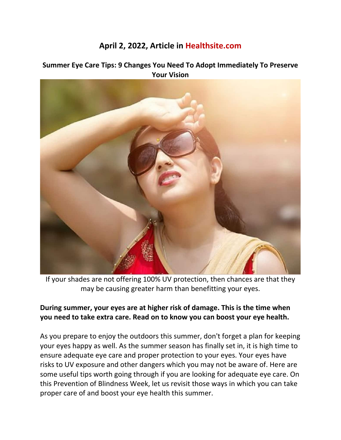# **April 2, 2022, Article in Healthsite.com**

# **Summer Eye Care Tips: 9 Changes You Need To Adopt Immediately To Preserve Your Vision**



If your shades are not offering 100% UV protection, then chances are that they may be causing greater harm than benefitting your eyes.

# **During summer, your eyes are at higher risk of damage. This is the time when you need to take extra care. Read on to know you can boost your eye health.**

As you prepare to enjoy the outdoors this summer, don't forget a plan for keeping your eyes happy as well. As the summer season has finally set in, it is high time to ensure adequate eye care and proper protection to your eyes. Your eyes have risks to UV exposure and other dangers which you may not be aware of. Here are some useful tips worth going through if you are looking for adequate eye care. On this Prevention of Blindness Week, let us revisit those ways in which you can take proper care of and boost your eye health this summer.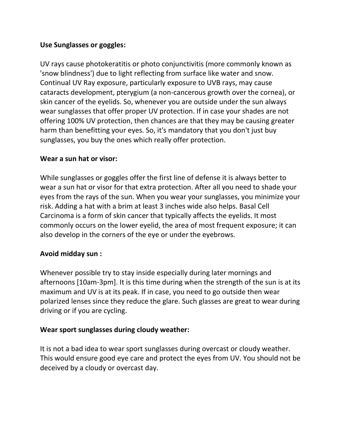# **Use Sunglasses or goggles:**

UV rays cause photokeratitis or photo conjunctivitis (more commonly known as 'snow blindness') due to light reflecting from surface like water and snow. Continual UV Ray exposure, particularly exposure to UVB rays, may cause cataracts development, pterygium (a non-cancerous growth over the cornea), or skin cancer of the eyelids. So, whenever you are outside under the sun always wear sunglasses that offer proper UV protection. If in case your shades are not offering 100% UV protection, then chances are that they may be causing greater harm than benefitting your eyes. So, it's mandatory that you don't just buy sunglasses, you buy the ones which really offer protection.

# **Wear a sun hat or visor:**

While sunglasses or goggles offer the first line of defense it is always better to wear a sun hat or visor for that extra protection. After all you need to shade your eyes from the rays of the sun. When you wear your sunglasses, you minimize your risk. Adding a hat with a brim at least 3 inches wide also helps. Basal Cell Carcinoma is a form of skin cancer that typically affects the eyelids. It most commonly occurs on the lower eyelid, the area of most frequent exposure; it can also develop in the corners of the eye or under the eyebrows.

# **Avoid midday sun :**

Whenever possible try to stay inside especially during later mornings and afternoons [10am-3pm]. It is this time during when the strength of the sun is at its maximum and UV is at its peak. If in case, you need to go outside then wear polarized lenses since they reduce the glare. Such glasses are great to wear during driving or if you are cycling.

# **Wear sport sunglasses during cloudy weather:**

It is not a bad idea to wear sport sunglasses during overcast or cloudy weather. This would ensure good eye care and protect the eyes from UV. You should not be deceived by a cloudy or overcast day.